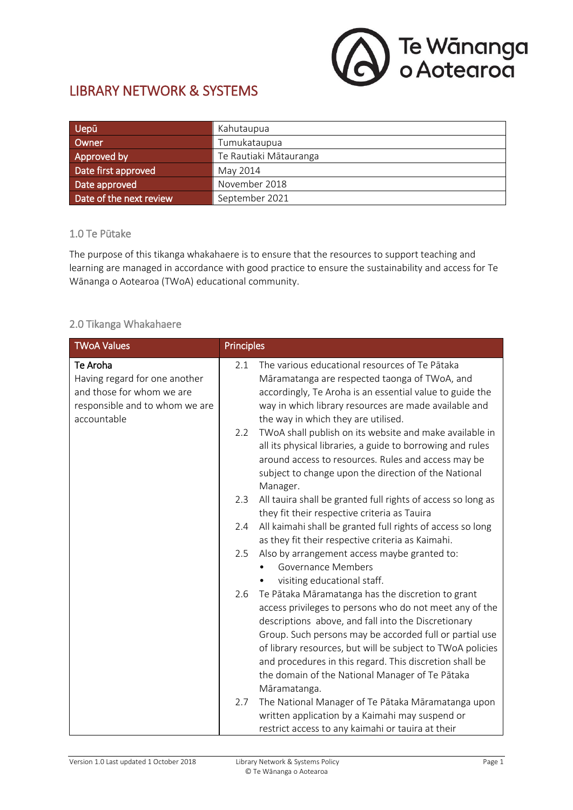

# LIBRARY NETWORK & SYSTEMS

| Uepū                    | Kahutaupua             |  |
|-------------------------|------------------------|--|
| Owner                   | Tumukataupua           |  |
| Approved by             | Te Rautiaki Mātauranga |  |
| Date first approved     | May 2014               |  |
| Date approved           | November 2018          |  |
| Date of the next review | September 2021         |  |

#### 1.0 Te Pūtake

The purpose of this tikanga whakahaere is to ensure that the resources to support teaching and learning are managed in accordance with good practice to ensure the sustainability and access for Te Wānanga o Aotearoa (TWoA) educational community.

## 2.0 Tikanga Whakahaere

| <b>TWoA Values</b>                                                                                                      | <b>Principles</b> |                                                                                                                                                                                                                                                                                                                                                                                                                            |
|-------------------------------------------------------------------------------------------------------------------------|-------------------|----------------------------------------------------------------------------------------------------------------------------------------------------------------------------------------------------------------------------------------------------------------------------------------------------------------------------------------------------------------------------------------------------------------------------|
| Te Aroha<br>Having regard for one another<br>and those for whom we are<br>responsible and to whom we are<br>accountable | 2.1               | The various educational resources of Te Pātaka<br>Māramatanga are respected taonga of TWoA, and<br>accordingly, Te Aroha is an essential value to guide the<br>way in which library resources are made available and<br>the way in which they are utilised.                                                                                                                                                                |
|                                                                                                                         | 2.2               | TWoA shall publish on its website and make available in<br>all its physical libraries, a guide to borrowing and rules<br>around access to resources. Rules and access may be<br>subject to change upon the direction of the National<br>Manager.                                                                                                                                                                           |
|                                                                                                                         | 2.3               | All tauira shall be granted full rights of access so long as<br>they fit their respective criteria as Tauira                                                                                                                                                                                                                                                                                                               |
|                                                                                                                         | 2.4               | All kaimahi shall be granted full rights of access so long<br>as they fit their respective criteria as Kaimahi.                                                                                                                                                                                                                                                                                                            |
|                                                                                                                         | 2.5               | Also by arrangement access maybe granted to:<br><b>Governance Members</b><br>visiting educational staff.                                                                                                                                                                                                                                                                                                                   |
|                                                                                                                         | 2.6               | Te Pātaka Māramatanga has the discretion to grant<br>access privileges to persons who do not meet any of the<br>descriptions above, and fall into the Discretionary<br>Group. Such persons may be accorded full or partial use<br>of library resources, but will be subject to TWoA policies<br>and procedures in this regard. This discretion shall be<br>the domain of the National Manager of Te Pātaka<br>Māramatanga. |
|                                                                                                                         | 2.7               | The National Manager of Te Pātaka Māramatanga upon<br>written application by a Kaimahi may suspend or<br>restrict access to any kaimahi or tauira at their                                                                                                                                                                                                                                                                 |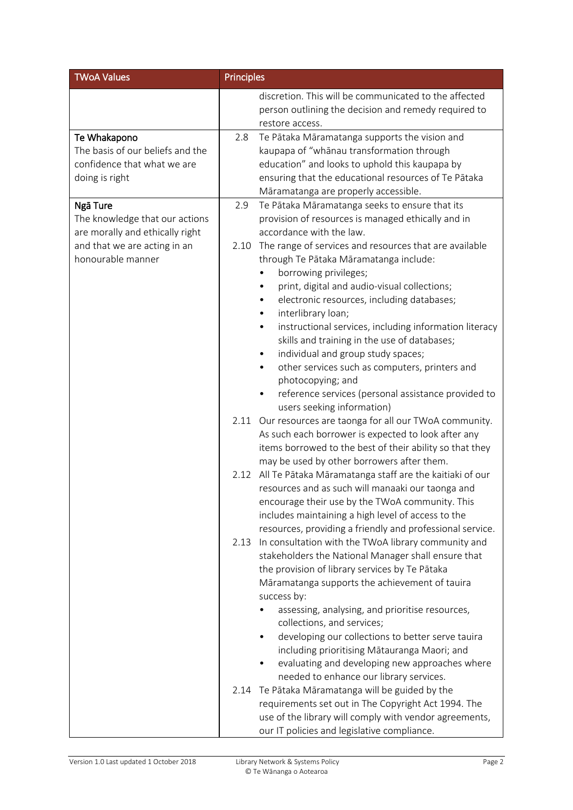| <b>TWoA Values</b>                                                                                                                 | <b>Principles</b>                                                                                                                                                                                                                                                                                                                                                                                                                                                                                                        |
|------------------------------------------------------------------------------------------------------------------------------------|--------------------------------------------------------------------------------------------------------------------------------------------------------------------------------------------------------------------------------------------------------------------------------------------------------------------------------------------------------------------------------------------------------------------------------------------------------------------------------------------------------------------------|
|                                                                                                                                    | discretion. This will be communicated to the affected<br>person outlining the decision and remedy required to<br>restore access.                                                                                                                                                                                                                                                                                                                                                                                         |
| Te Whakapono<br>The basis of our beliefs and the<br>confidence that what we are<br>doing is right                                  | Te Pātaka Māramatanga supports the vision and<br>2.8<br>kaupapa of "whānau transformation through<br>education" and looks to uphold this kaupapa by<br>ensuring that the educational resources of Te Pātaka<br>Māramatanga are properly accessible.                                                                                                                                                                                                                                                                      |
| Ngā Ture<br>The knowledge that our actions<br>are morally and ethically right<br>and that we are acting in an<br>honourable manner | Te Pātaka Māramatanga seeks to ensure that its<br>2.9<br>provision of resources is managed ethically and in<br>accordance with the law.<br>The range of services and resources that are available<br>2.10<br>through Te Pātaka Māramatanga include:<br>borrowing privileges;<br>print, digital and audio-visual collections;<br>٠<br>electronic resources, including databases;<br>interlibrary loan;<br>٠                                                                                                               |
|                                                                                                                                    | instructional services, including information literacy<br>٠<br>skills and training in the use of databases;<br>individual and group study spaces;<br>٠<br>other services such as computers, printers and<br>$\bullet$<br>photocopying; and<br>reference services (personal assistance provided to<br>users seeking information)                                                                                                                                                                                          |
|                                                                                                                                    | Our resources are taonga for all our TWoA community.<br>2.11<br>As such each borrower is expected to look after any<br>items borrowed to the best of their ability so that they<br>may be used by other borrowers after them.                                                                                                                                                                                                                                                                                            |
|                                                                                                                                    | All Te Pātaka Māramatanga staff are the kaitiaki of our<br>2.12<br>resources and as such will manaaki our taonga and<br>encourage their use by the TWoA community. This<br>includes maintaining a high level of access to the<br>resources, providing a friendly and professional service.                                                                                                                                                                                                                               |
|                                                                                                                                    | In consultation with the TWoA library community and<br>2.13<br>stakeholders the National Manager shall ensure that<br>the provision of library services by Te Pātaka<br>Māramatanga supports the achievement of tauira<br>success by:<br>assessing, analysing, and prioritise resources,<br>collections, and services;<br>developing our collections to better serve tauira<br>including prioritising Mātauranga Maori; and<br>evaluating and developing new approaches where<br>needed to enhance our library services. |
|                                                                                                                                    | Te Pātaka Māramatanga will be guided by the<br>2.14<br>requirements set out in The Copyright Act 1994. The<br>use of the library will comply with vendor agreements,<br>our IT policies and legislative compliance.                                                                                                                                                                                                                                                                                                      |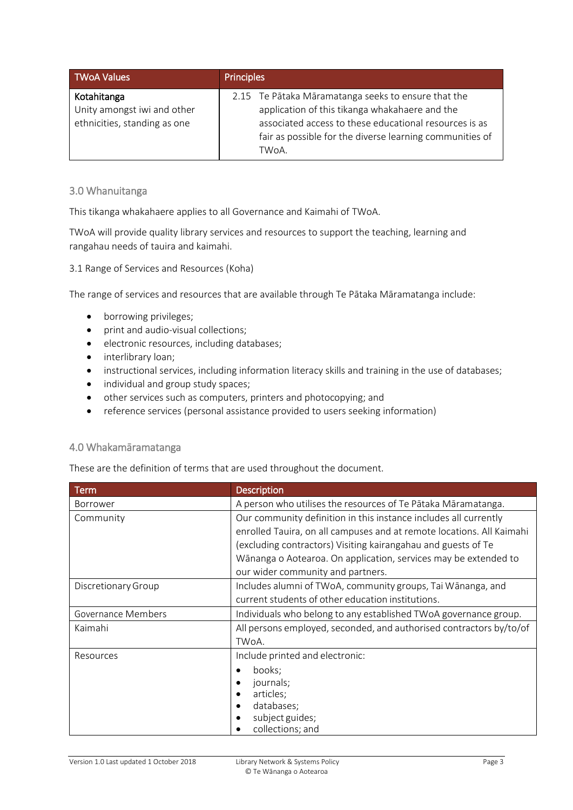| TWoA Values                                                                | <b>Principles</b>                                                                                                                                                                                                                    |
|----------------------------------------------------------------------------|--------------------------------------------------------------------------------------------------------------------------------------------------------------------------------------------------------------------------------------|
| Kotahitanga<br>Unity amongst iwi and other<br>ethnicities, standing as one | 2.15 Te Pātaka Māramatanga seeks to ensure that the<br>application of this tikanga whakahaere and the<br>associated access to these educational resources is as<br>fair as possible for the diverse learning communities of<br>TWoA. |

### 3.0 Whanuitanga

This tikanga whakahaere applies to all Governance and Kaimahi of TWoA.

TWoA will provide quality library services and resources to support the teaching, learning and rangahau needs of tauira and kaimahi.

#### 3.1 Range of Services and Resources (Koha)

The range of services and resources that are available through Te Pātaka Māramatanga include:

- borrowing privileges;
- print and audio-visual collections;
- electronic resources, including databases;
- interlibrary loan;
- instructional services, including information literacy skills and training in the use of databases;
- individual and group study spaces;
- other services such as computers, printers and photocopying; and
- reference services (personal assistance provided to users seeking information)

### 4.0 Whakamāramatanga

These are the definition of terms that are used throughout the document.

| <b>Term</b>         | <b>Description</b>                                                    |  |  |
|---------------------|-----------------------------------------------------------------------|--|--|
| <b>Borrower</b>     | A person who utilises the resources of Te Pātaka Māramatanga.         |  |  |
| Community           | Our community definition in this instance includes all currently      |  |  |
|                     | enrolled Tauira, on all campuses and at remote locations. All Kaimahi |  |  |
|                     | (excluding contractors) Visiting kairangahau and guests of Te         |  |  |
|                     | Wānanga o Aotearoa. On application, services may be extended to       |  |  |
|                     | our wider community and partners.                                     |  |  |
| Discretionary Group | Includes alumni of TWoA, community groups, Tai Wānanga, and           |  |  |
|                     | current students of other education institutions.                     |  |  |
| Governance Members  | Individuals who belong to any established TWoA governance group.      |  |  |
| Kaimahi             | All persons employed, seconded, and authorised contractors by/to/of   |  |  |
|                     | TWoA.                                                                 |  |  |
| Resources           | Include printed and electronic:                                       |  |  |
|                     | books;                                                                |  |  |
|                     | journals;                                                             |  |  |
|                     | articles;                                                             |  |  |
|                     | databases;                                                            |  |  |
|                     | subject guides;<br>collections; and                                   |  |  |